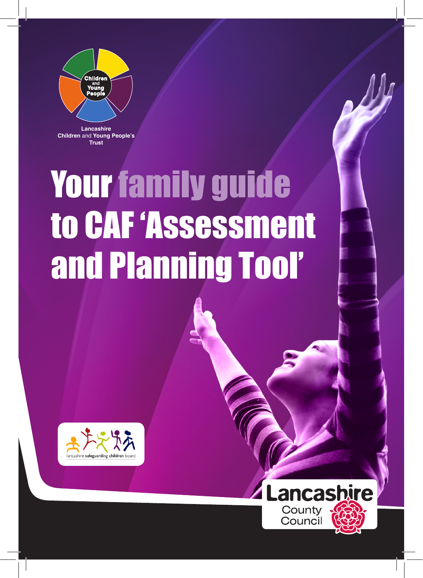

**Lancashire Children** and **Young People's Trust**

## Your family guide to CAF 'Assessment and Planning Tool'



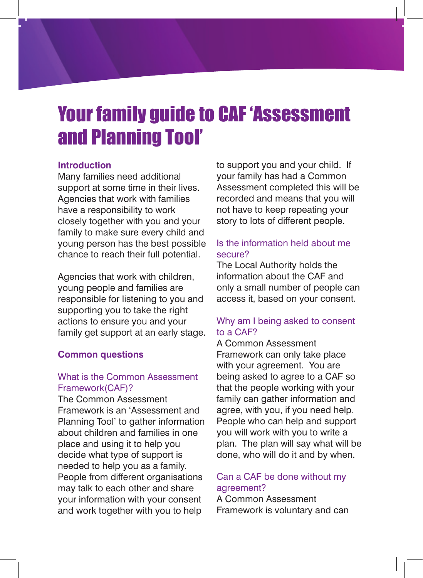### Your family guide to CAF 'Assessment and Planning Tool'

#### **Introduction**

Many families need additional support at some time in their lives. Agencies that work with families have a responsibility to work closely together with you and your family to make sure every child and young person has the best possible chance to reach their full potential.

Agencies that work with children, young people and families are responsible for listening to you and supporting you to take the right actions to ensure you and your family get support at an early stage.

#### **Common questions**

#### What is the Common Assessment Framework(CAF)?

The Common Assessment Framework is an 'Assessment and Planning Tool' to gather information about children and families in one place and using it to help you decide what type of support is needed to help you as a family. People from different organisations may talk to each other and share your information with your consent and work together with you to help

to support you and your child. If your family has had a Common Assessment completed this will be recorded and means that you will not have to keep repeating your story to lots of different people.

#### Is the information held about me secure?

The Local Authority holds the information about the CAF and only a small number of people can access it, based on your consent.

#### Why am I being asked to consent to a CAF?

A Common Assessment Framework can only take place with your agreement. You are being asked to agree to a CAF so that the people working with your family can gather information and agree, with you, if you need help. People who can help and support you will work with you to write a plan. The plan will say what will be done, who will do it and by when.

#### Can a CAF be done without my agreement?

A Common Assessment Framework is voluntary and can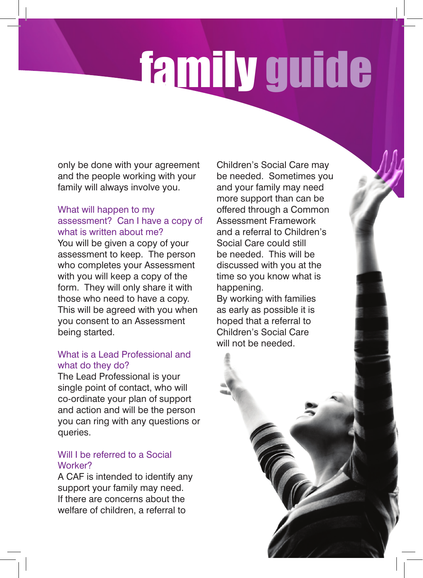# family guide

only be done with your agreement and the people working with your family will always involve you.

#### What will happen to my assessment? Can I have a copy of what is written about me?

You will be given a copy of your assessment to keep. The person who completes your Assessment with you will keep a copy of the form. They will only share it with those who need to have a copy. This will be agreed with you when you consent to an Assessment being started.

#### What is a Lead Professional and what do they do?

The Lead Professional is your single point of contact, who will co-ordinate your plan of support and action and will be the person you can ring with any questions or queries.

#### Will I be referred to a Social Worker?

A CAF is intended to identify any support your family may need. If there are concerns about the welfare of children, a referral to

Children's Social Care may be needed. Sometimes you and your family may need more support than can be offered through a Common Assessment Framework and a referral to Children's Social Care could still be needed. This will be discussed with you at the time so you know what is happening.

By working with families as early as possible it is hoped that a referral to Children's Social Care will not be needed.